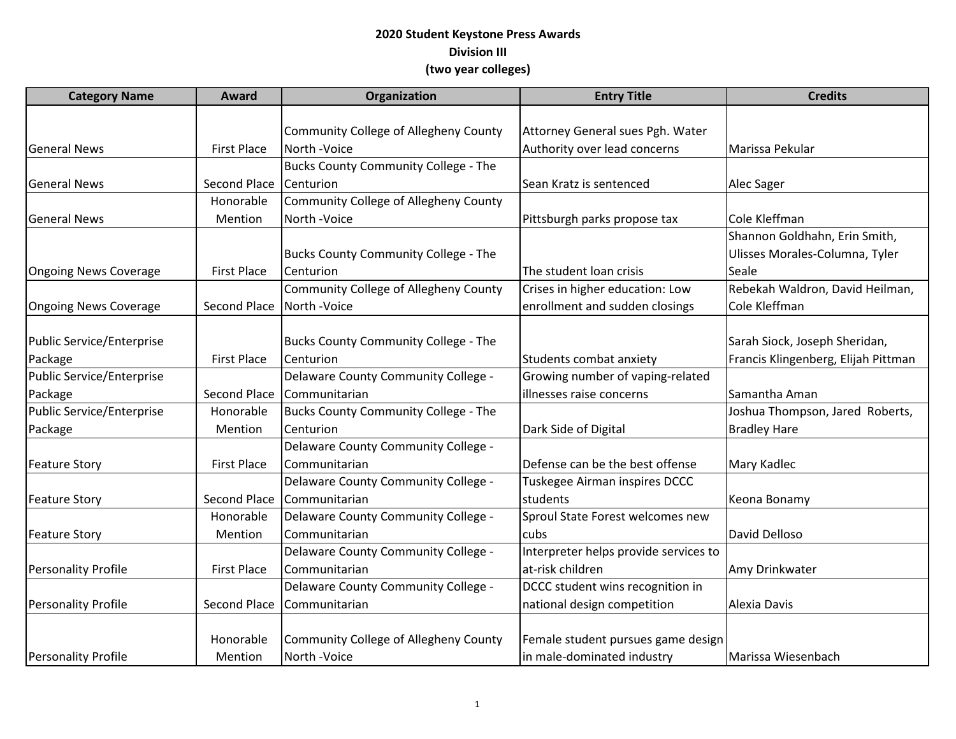## **2020 Student Keystone Press Awards Division III (two year colleges)**

| <b>Category Name</b>         | Award              | Organization                          | <b>Entry Title</b>                    | <b>Credits</b>                      |
|------------------------------|--------------------|---------------------------------------|---------------------------------------|-------------------------------------|
|                              |                    |                                       |                                       |                                     |
|                              |                    | Community College of Allegheny County | Attorney General sues Pgh. Water      |                                     |
| <b>General News</b>          | <b>First Place</b> | North - Voice                         | Authority over lead concerns          | Marissa Pekular                     |
|                              |                    | Bucks County Community College - The  |                                       |                                     |
| <b>General News</b>          | Second Place       | Centurion                             | Sean Kratz is sentenced               | Alec Sager                          |
|                              | Honorable          | Community College of Allegheny County |                                       |                                     |
| <b>General News</b>          | Mention            | North -Voice                          | Pittsburgh parks propose tax          | Cole Kleffman                       |
|                              |                    |                                       |                                       | Shannon Goldhahn, Erin Smith,       |
|                              |                    | Bucks County Community College - The  |                                       | Ulisses Morales-Columna, Tyler      |
| <b>Ongoing News Coverage</b> | <b>First Place</b> | Centurion                             | The student loan crisis               | Seale                               |
|                              |                    | Community College of Allegheny County | Crises in higher education: Low       | Rebekah Waldron, David Heilman,     |
| <b>Ongoing News Coverage</b> | Second Place       | North - Voice                         | enrollment and sudden closings        | Cole Kleffman                       |
|                              |                    |                                       |                                       |                                     |
| Public Service/Enterprise    |                    | Bucks County Community College - The  |                                       | Sarah Siock, Joseph Sheridan,       |
| Package                      | <b>First Place</b> | Centurion                             | Students combat anxiety               | Francis Klingenberg, Elijah Pittman |
| Public Service/Enterprise    |                    | Delaware County Community College -   | Growing number of vaping-related      |                                     |
| Package                      | Second Place       | Communitarian                         | illnesses raise concerns              | Samantha Aman                       |
| Public Service/Enterprise    | Honorable          | Bucks County Community College - The  |                                       | Joshua Thompson, Jared Roberts,     |
| Package                      | Mention            | Centurion                             | Dark Side of Digital                  | <b>Bradley Hare</b>                 |
|                              |                    | Delaware County Community College -   |                                       |                                     |
| <b>Feature Story</b>         | <b>First Place</b> | Communitarian                         | Defense can be the best offense       | Mary Kadlec                         |
|                              |                    | Delaware County Community College -   | Tuskegee Airman inspires DCCC         |                                     |
| <b>Feature Story</b>         | Second Place       | Communitarian                         | students                              | Keona Bonamy                        |
|                              | Honorable          | Delaware County Community College -   | Sproul State Forest welcomes new      |                                     |
| <b>Feature Story</b>         | Mention            | Communitarian                         | cubs                                  | David Delloso                       |
|                              |                    | Delaware County Community College -   | Interpreter helps provide services to |                                     |
| <b>Personality Profile</b>   | <b>First Place</b> | Communitarian                         | at-risk children                      | Amy Drinkwater                      |
|                              |                    | Delaware County Community College -   | DCCC student wins recognition in      |                                     |
| <b>Personality Profile</b>   | Second Place       | Communitarian                         | national design competition           | <b>Alexia Davis</b>                 |
|                              |                    |                                       |                                       |                                     |
|                              | Honorable          | Community College of Allegheny County | Female student pursues game design    |                                     |
| Personality Profile          | Mention            | North -Voice                          | in male-dominated industry            | Marissa Wiesenbach                  |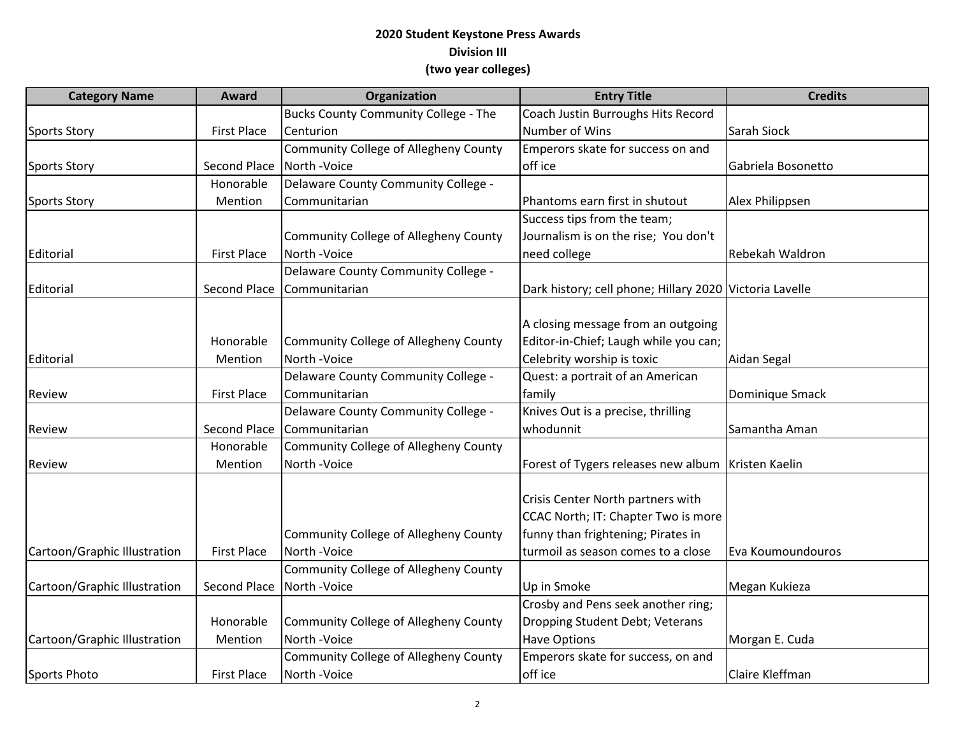## **2020 Student Keystone Press Awards Division III (two year colleges)**

| <b>Category Name</b>         | Award              | Organization                                | <b>Entry Title</b>                                      | <b>Credits</b>     |
|------------------------------|--------------------|---------------------------------------------|---------------------------------------------------------|--------------------|
|                              |                    | <b>Bucks County Community College - The</b> | Coach Justin Burroughs Hits Record                      |                    |
| <b>Sports Story</b>          | <b>First Place</b> | Centurion                                   | Number of Wins                                          | Sarah Siock        |
|                              |                    | Community College of Allegheny County       | Emperors skate for success on and                       |                    |
| <b>Sports Story</b>          | Second Place       | North - Voice                               | off ice                                                 | Gabriela Bosonetto |
|                              | Honorable          | Delaware County Community College -         |                                                         |                    |
| <b>Sports Story</b>          | Mention            | Communitarian                               | Phantoms earn first in shutout                          | Alex Philippsen    |
|                              |                    |                                             | Success tips from the team;                             |                    |
|                              |                    | Community College of Allegheny County       | Journalism is on the rise; You don't                    |                    |
| Editorial                    | <b>First Place</b> | North -Voice                                | need college                                            | Rebekah Waldron    |
|                              |                    | Delaware County Community College -         |                                                         |                    |
| Editorial                    | Second Place       | Communitarian                               | Dark history; cell phone; Hillary 2020 Victoria Lavelle |                    |
|                              |                    |                                             |                                                         |                    |
|                              |                    |                                             | A closing message from an outgoing                      |                    |
|                              | Honorable          | Community College of Allegheny County       | Editor-in-Chief; Laugh while you can;                   |                    |
| Editorial                    | Mention            | North - Voice                               | Celebrity worship is toxic                              | Aidan Segal        |
|                              |                    | Delaware County Community College -         | Quest: a portrait of an American                        |                    |
| Review                       | <b>First Place</b> | Communitarian                               | family                                                  | Dominique Smack    |
|                              |                    | Delaware County Community College -         | Knives Out is a precise, thrilling                      |                    |
| Review                       | Second Place       | Communitarian                               | whodunnit                                               | Samantha Aman      |
|                              | Honorable          | Community College of Allegheny County       |                                                         |                    |
| Review                       | Mention            | North - Voice                               | Forest of Tygers releases new album   Kristen Kaelin    |                    |
|                              |                    |                                             |                                                         |                    |
|                              |                    |                                             | Crisis Center North partners with                       |                    |
|                              |                    |                                             | CCAC North; IT: Chapter Two is more                     |                    |
|                              |                    | Community College of Allegheny County       | funny than frightening; Pirates in                      |                    |
| Cartoon/Graphic Illustration | <b>First Place</b> | North - Voice                               | turmoil as season comes to a close                      | Eva Koumoundouros  |
|                              |                    | Community College of Allegheny County       |                                                         |                    |
| Cartoon/Graphic Illustration | Second Place       | North - Voice                               | Up in Smoke                                             | Megan Kukieza      |
|                              |                    |                                             | Crosby and Pens seek another ring;                      |                    |
|                              | Honorable          | Community College of Allegheny County       | Dropping Student Debt; Veterans                         |                    |
| Cartoon/Graphic Illustration | Mention            | North - Voice                               | <b>Have Options</b>                                     | Morgan E. Cuda     |
|                              |                    | Community College of Allegheny County       | Emperors skate for success, on and                      |                    |
| <b>Sports Photo</b>          | <b>First Place</b> | North - Voice                               | off ice                                                 | Claire Kleffman    |